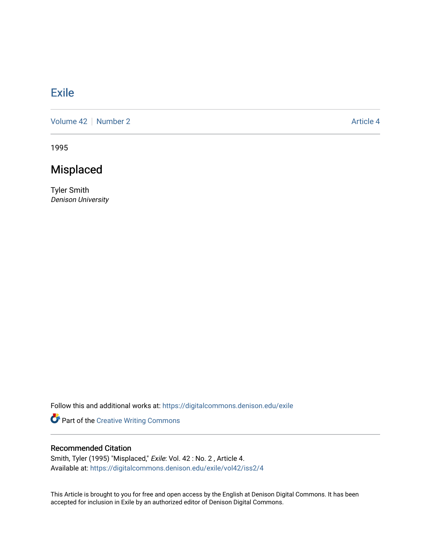## [Exile](https://digitalcommons.denison.edu/exile)

[Volume 42](https://digitalcommons.denison.edu/exile/vol42) | [Number 2](https://digitalcommons.denison.edu/exile/vol42/iss2) Article 4

1995

## Misplaced

Tyler Smith Denison University

Follow this and additional works at: [https://digitalcommons.denison.edu/exile](https://digitalcommons.denison.edu/exile?utm_source=digitalcommons.denison.edu%2Fexile%2Fvol42%2Fiss2%2F4&utm_medium=PDF&utm_campaign=PDFCoverPages) 

Part of the [Creative Writing Commons](http://network.bepress.com/hgg/discipline/574?utm_source=digitalcommons.denison.edu%2Fexile%2Fvol42%2Fiss2%2F4&utm_medium=PDF&utm_campaign=PDFCoverPages) 

## Recommended Citation

Smith, Tyler (1995) "Misplaced," Exile: Vol. 42 : No. 2 , Article 4. Available at: [https://digitalcommons.denison.edu/exile/vol42/iss2/4](https://digitalcommons.denison.edu/exile/vol42/iss2/4?utm_source=digitalcommons.denison.edu%2Fexile%2Fvol42%2Fiss2%2F4&utm_medium=PDF&utm_campaign=PDFCoverPages) 

This Article is brought to you for free and open access by the English at Denison Digital Commons. It has been accepted for inclusion in Exile by an authorized editor of Denison Digital Commons.